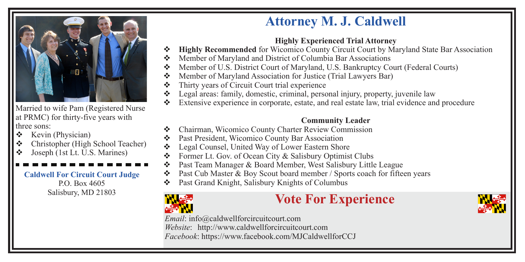Married to wife Pam (Registered Nurse at PRMC) for thirty-five years with three sons:

- $\div$  Kevin (Physician)
- v Christopher (High School Teacher)
- $\bullet$  Joseph (1st Lt. U.S. Marines)

**Caldwell For Circuit Court Judge** P.O. Box 4605

## **Attorney M. J. Caldwell**

### **Highly Experienced Trial Attorney**

- **\*** Highly Recommended for Wicomico County Circuit Court by Maryland State Bar Association
- v Member of Maryland and District of Columbia Bar Associations
- v Member of U.S. District Court of Maryland, U.S. Bankruptcy Court (Federal Courts)
- v Member of Maryland Association for Justice (Trial Lawyers Bar)
- $\bullet$  Thirty years of Circuit Court trial experience
- Legal areas: family, domestic, criminal, personal injury, property, juvenile law
- Extensive experience in corporate, estate, and real estate law, trial evidence and procedure

#### **Community Leader**

- Chairman, Wicomico County Charter Review Commission
- Past President, Wicomico County Bar Association
- Legal Counsel, United Way of Lower Eastern Shore
- Former Lt. Gov. of Ocean City & Salisbury Optimist Clubs
- Past Team Manager & Board Member, West Salisbury Little League
- Past Cub Master & Boy Scout board member / Sports coach for fifteen years
- v Past Grand Knight, Salisbury Knights of Columbus



# Salisbury, MD 21803<br> **Vote For Experience**